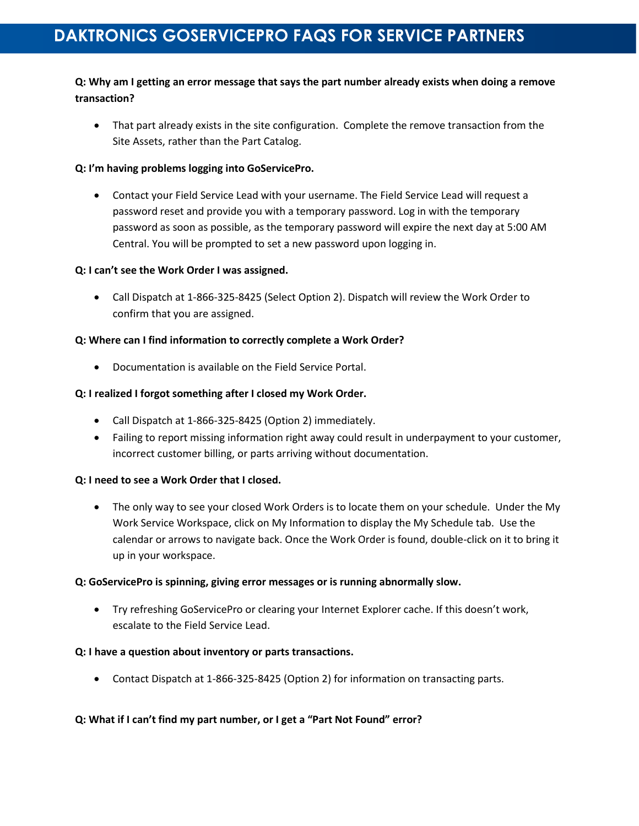# **DAKTRONICS GOSERVICEPRO FAQS FOR SERVICE PARTNERS**

# **Q: Why am I getting an error message that says the part number already exists when doing a remove transaction?**

• That part already exists in the site configuration. Complete the remove transaction from the Site Assets, rather than the Part Catalog.

#### **Q: I'm having problems logging into GoServicePro.**

 Contact your Field Service Lead with your username. The Field Service Lead will request a password reset and provide you with a temporary password. Log in with the temporary password as soon as possible, as the temporary password will expire the next day at 5:00 AM Central. You will be prompted to set a new password upon logging in.

#### **Q: I can't see the Work Order I was assigned.**

 Call Dispatch at 1-866-325-8425 (Select Option 2). Dispatch will review the Work Order to confirm that you are assigned.

#### **Q: Where can I find information to correctly complete a Work Order?**

Documentation is available on the Field Service Portal.

# **Q: I realized I forgot something after I closed my Work Order.**

- Call Dispatch at 1-866-325-8425 (Option 2) immediately.
- Failing to report missing information right away could result in underpayment to your customer, incorrect customer billing, or parts arriving without documentation.

# **Q: I need to see a Work Order that I closed.**

• The only way to see your closed Work Orders is to locate them on your schedule. Under the My Work Service Workspace, click on My Information to display the My Schedule tab. Use the calendar or arrows to navigate back. Once the Work Order is found, double-click on it to bring it up in your workspace.

#### **Q: GoServicePro is spinning, giving error messages or is running abnormally slow.**

 Try refreshing GoServicePro or clearing your Internet Explorer cache. If this doesn't work, escalate to the Field Service Lead.

#### **Q: I have a question about inventory or parts transactions.**

Contact Dispatch at 1-866-325-8425 (Option 2) for information on transacting parts.

# **Q: What if I can't find my part number, or I get a "Part Not Found" error?**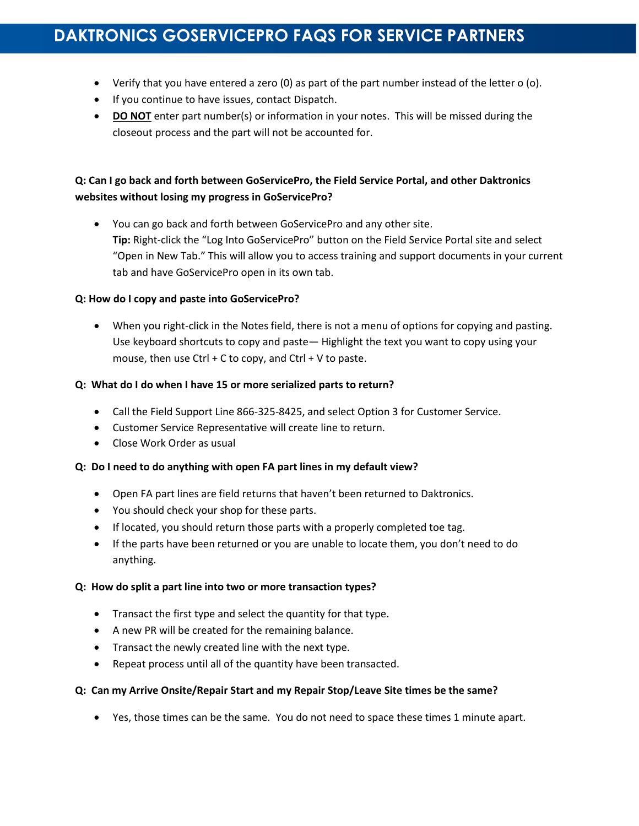# **DAKTRONICS GOSERVICEPRO FAQS FOR SERVICE PARTNERS**

- Verify that you have entered a zero (0) as part of the part number instead of the letter o (o).
- If you continue to have issues, contact Dispatch.
- **DO NOT** enter part number(s) or information in your notes. This will be missed during the closeout process and the part will not be accounted for.

# **Q: Can I go back and forth between GoServicePro, the Field Service Portal, and other Daktronics websites without losing my progress in GoServicePro?**

 You can go back and forth between GoServicePro and any other site. **Tip:** Right-click the "Log Into GoServicePro" button on the Field Service Portal site and select "Open in New Tab." This will allow you to access training and support documents in your current tab and have GoServicePro open in its own tab.

# **Q: How do I copy and paste into GoServicePro?**

 When you right-click in the Notes field, there is not a menu of options for copying and pasting. Use keyboard shortcuts to copy and paste— Highlight the text you want to copy using your mouse, then use Ctrl  $+$  C to copy, and Ctrl  $+$  V to paste.

# **Q: What do I do when I have 15 or more serialized parts to return?**

- Call the Field Support Line 866-325-8425, and select Option 3 for Customer Service.
- Customer Service Representative will create line to return.
- Close Work Order as usual

# **Q: Do I need to do anything with open FA part lines in my default view?**

- Open FA part lines are field returns that haven't been returned to Daktronics.
- You should check your shop for these parts.
- If located, you should return those parts with a properly completed toe tag.
- If the parts have been returned or you are unable to locate them, you don't need to do anything.

# **Q: How do split a part line into two or more transaction types?**

- Transact the first type and select the quantity for that type.
- A new PR will be created for the remaining balance.
- Transact the newly created line with the next type.
- Repeat process until all of the quantity have been transacted.

# **Q: Can my Arrive Onsite/Repair Start and my Repair Stop/Leave Site times be the same?**

Yes, those times can be the same. You do not need to space these times 1 minute apart.